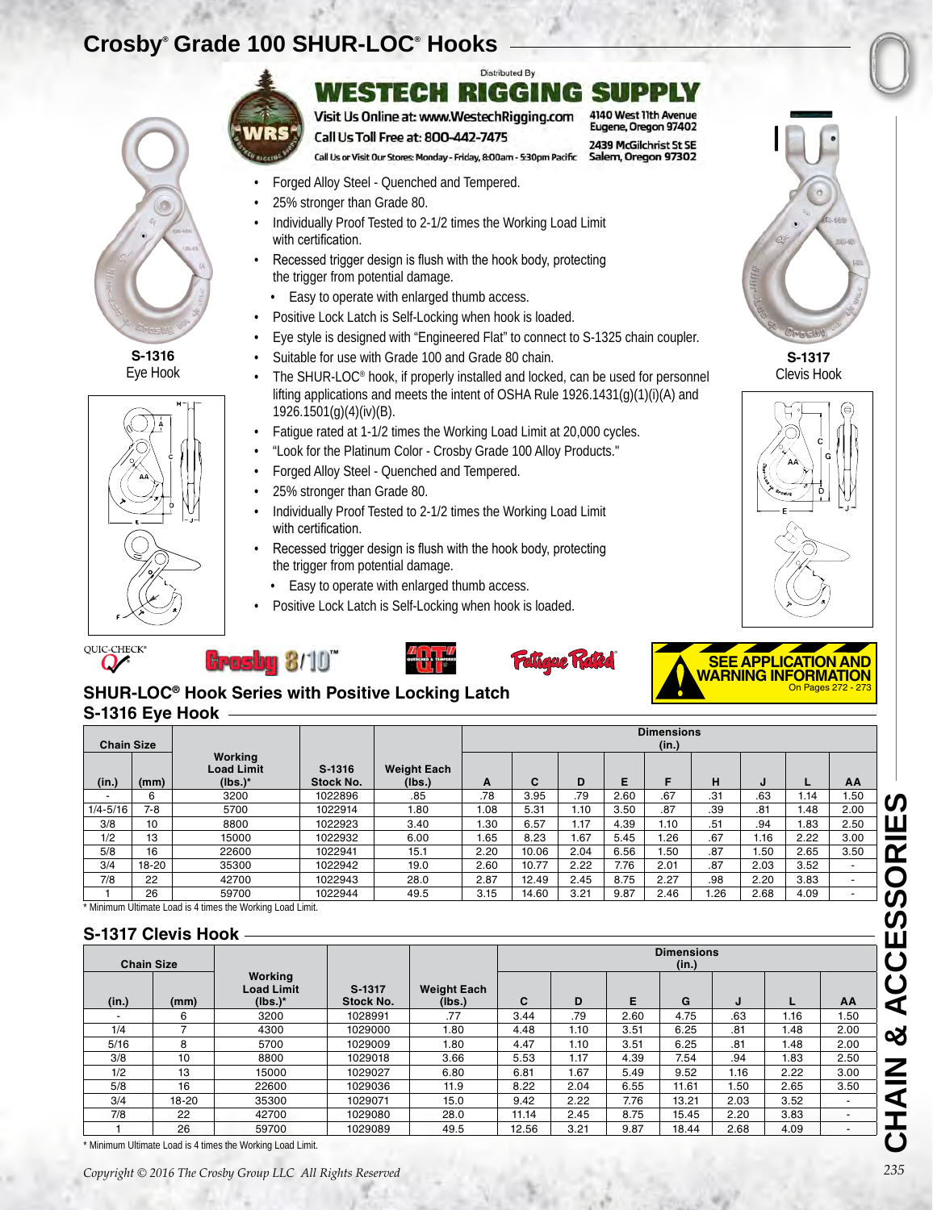# **Crosby® Grade 100 SHUR-LOC® Hooks**



**S-1316** Eye Hook



#### **Distributed By** WESTECH RIGGING SUP 4140 West 11th Avenue

Eugene, Oregon 97402

2439 McGilchrist St SE

Salem, Oregon 97302

Visit Us Online at: www.WestechRigging.com Call Us Toll Free at: 800-442-7475

Call Us or Visit Our Stores: Monday - Friday, 8:00am - 5:30pm Pacific

- Forged Alloy Steel Quenched and Tempered.
- 25% stronger than Grade 80.
- Individually Proof Tested to 2-1/2 times the Working Load Limit with certification.
- Recessed trigger design is flush with the hook body, protecting the trigger from potential damage.
	- Easy to operate with enlarged thumb access.
- Positive Lock Latch is Self-Locking when hook is loaded.
- Eye style is designed with "Engineered Flat" to connect to S-1325 chain coupler.
- Suitable for use with Grade 100 and Grade 80 chain.
- The SHUR-LOC® hook, if properly installed and locked, can be used for personnel lifting applications and meets the intent of OSHA Rule 1926.1431(g)(1)(i)(A) and 1926.1501(g)(4)(iv)(B).
- Fatigue rated at 1-1/2 times the Working Load Limit at 20,000 cycles.
- "Look for the Platinum Color Crosby Grade 100 Alloy Products."
- Forged Alloy Steel Quenched and Tempered.
- 25% stronger than Grade 80.
- Individually Proof Tested to 2-1/2 times the Working Load Limit with certification.
- Recessed trigger design is flush with the hook body, protecting the trigger from potential damage.
	- Easy to operate with enlarged thumb access.
- Positive Lock Latch is Self-Locking when hook is loaded.







**Grosby 8/10"** 





### **S-1316 Eye Hook SHUR-LOC® Hook Series with Positive Locking Latch**

| <b>Chain Size</b>  |                   |                |                                                          |                            |                              |                    | <b>Dimensions</b><br>(in.) |      |      |                            |      |      |      |                          |
|--------------------|-------------------|----------------|----------------------------------------------------------|----------------------------|------------------------------|--------------------|----------------------------|------|------|----------------------------|------|------|------|--------------------------|
| (in.)              | (mm)              |                | Working<br><b>Load Limit</b><br>$(lbs.)^*$               | S-1316<br><b>Stock No.</b> | <b>Weight Each</b><br>(lbs.) | A                  | C                          | D    | Е    | F                          | н    | J    |      | AA                       |
|                    | 6                 |                | 3200                                                     | 1022896                    | .85                          | .78                | 3.95                       | .79  | 2.60 | .67                        | .31  | .63  | 1.14 | 1.50                     |
| $1/4 - 5/16$       | $7 - 8$           |                | 5700                                                     | 1022914                    | 1.80                         | 1.08               | 5.31                       | 1.10 | 3.50 | .87                        | .39  | .81  | 1.48 | 2.00                     |
| 3/8                | 10                |                | 8800                                                     | 1022923                    | 3.40                         | 1.30               | 6.57                       | 1.17 | 4.39 | 1.10                       | .51  | .94  | 1.83 | 2.50                     |
| 1/2                | 13                |                | 15000                                                    | 1022932                    | 6.00                         | 1.65               | 8.23                       | 1.67 | 5.45 | 1.26                       | .67  | 1.16 | 2.22 | 3.00                     |
| 5/8                | 16                |                | 22600                                                    | 1022941                    | 15.1                         | 2.20               | 10.06                      | 2.04 | 6.56 | 1.50                       | .87  | 1.50 | 2.65 | 3.50                     |
| 3/4                | 18-20             |                | 35300                                                    | 1022942                    | 19.0                         | 2.60               | 10.77                      | 2.22 | 7.76 | 2.01                       | .87  | 2.03 | 3.52 | $\overline{\phantom{a}}$ |
| 7/8                | 22                |                | 42700                                                    | 1022943                    | 28.0                         | 2.87               | 12.49                      | 2.45 | 8.75 | 2.27                       | .98  | 2.20 | 3.83 | $\blacksquare$           |
|                    | 26                |                | 59700                                                    | 1022944                    | 49.5                         | 3.15               | 14.60                      | 3.21 | 9.87 | 2.46                       | 1.26 | 2.68 | 4.09 | $\blacksquare$           |
| S-1317 Clevis Hook |                   |                | Minimum Ultimate Load is 4 times the Working Load Limit. |                            |                              |                    |                            |      |      |                            |      |      |      |                          |
|                    | <b>Chain Size</b> |                |                                                          |                            |                              |                    |                            |      |      | <b>Dimensions</b><br>(in.) |      |      |      |                          |
|                    |                   |                | Working<br><b>Load Limit</b>                             | S-1317<br><b>Stock No.</b> |                              | <b>Weight Each</b> | C                          | D    | E    | G                          |      | J    |      |                          |
| (in.)              |                   | (mm)<br>6      | $(lbs.)^*$<br>3200                                       | 1028991                    |                              | (Ibs.)<br>.77      | 3.44                       | .79  | 2.60 | 4.75                       |      | .63  | 1.16 | AA<br>1.50               |
| 1/4                |                   | $\overline{7}$ | 4300                                                     | 1029000                    |                              | 1.80               | 4.48                       | 1.10 | 3.51 | 6.25                       |      | .81  | 1.48 | 2.00                     |
| 5/16               |                   | 8              | 5700                                                     | 1029009                    |                              | 1.80               | 4.47                       | 1.10 | 3.51 | 6.25                       |      | .81  | 1.48 | 2.00                     |
| 3/8                |                   | 10             | 8800                                                     | 1029018                    |                              | 3.66               | 5.53                       | 1.17 | 4.39 | 7.54                       |      | .94  | 1.83 | 2.50                     |
| 1/2                |                   | 13             | 15000                                                    | 1029027                    |                              | 6.80               | 6.81                       | 1.67 | 5.49 | 9.52                       |      | 1.16 | 2.22 | 3.00                     |
| 5/8                |                   | 16             | 22600                                                    | 1029036                    |                              | 11.9               | 8.22                       | 2.04 | 6.55 | 11.61                      |      | 1.50 | 2.65 | 3.50                     |
| 3/4                |                   | 18-20          | 35300                                                    | 1029071                    |                              | 15.0               | 9.42                       | 2.22 | 7.76 | 13.21                      |      | 2.03 | 3.52 |                          |
| 7/8                |                   | 22             | 42700                                                    | 1029080                    |                              | 28.0               | 11.14                      | 2.45 | 8.75 | 15.45                      |      | 2.20 | 3.83 | $\blacksquare$           |

### **S-1317 Clevis Hook**

| <b>Chain Size</b> |       |                                            |                     |                              |       |      |      | <b>Dimensions</b><br>(in.) |      |      |                          |
|-------------------|-------|--------------------------------------------|---------------------|------------------------------|-------|------|------|----------------------------|------|------|--------------------------|
| (in.)             | (mm)  | Working<br><b>Load Limit</b><br>$(lbs.)^*$ | S-1317<br>Stock No. | <b>Weight Each</b><br>(lbs.) | C     | D    | E    | G                          | J    |      | AA                       |
|                   | 6     | 3200                                       | 1028991             | .77                          | 3.44  | .79  | 2.60 | 4.75                       | .63  | 1.16 | 1.50                     |
| 1/4               |       | 4300                                       | 1029000             | 1.80                         | 4.48  | 1.10 | 3.51 | 6.25                       | .81  | 1.48 | 2.00                     |
| 5/16              | 8     | 5700                                       | 1029009             | 1.80                         | 4.47  | 1.10 | 3.51 | 6.25                       | .81  | 1.48 | 2.00                     |
| 3/8               | 10    | 8800                                       | 1029018             | 3.66                         | 5.53  | 1.17 | 4.39 | 7.54                       | .94  | 1.83 | 2.50                     |
| 1/2               | 13    | 15000                                      | 1029027             | 6.80                         | 6.81  | 1.67 | 5.49 | 9.52                       | 1.16 | 2.22 | 3.00                     |
| 5/8               | 16    | 22600                                      | 1029036             | 11.9                         | 8.22  | 2.04 | 6.55 | 11.61                      | I.50 | 2.65 | 3.50                     |
| 3/4               | 18-20 | 35300                                      | 1029071             | 15.0                         | 9.42  | 2.22 | 7.76 | 13.21                      | 2.03 | 3.52 | ۰                        |
| 7/8               | 22    | 42700                                      | 1029080             | 28.0                         | 11.14 | 2.45 | 8.75 | 15.45                      | 2.20 | 3.83 | $\overline{\phantom{a}}$ |
|                   | 26    | 59700                                      | 1029089             | 49.5                         | 12.56 | 3.21 | 9.87 | 18.44                      | 2.68 | 4.09 |                          |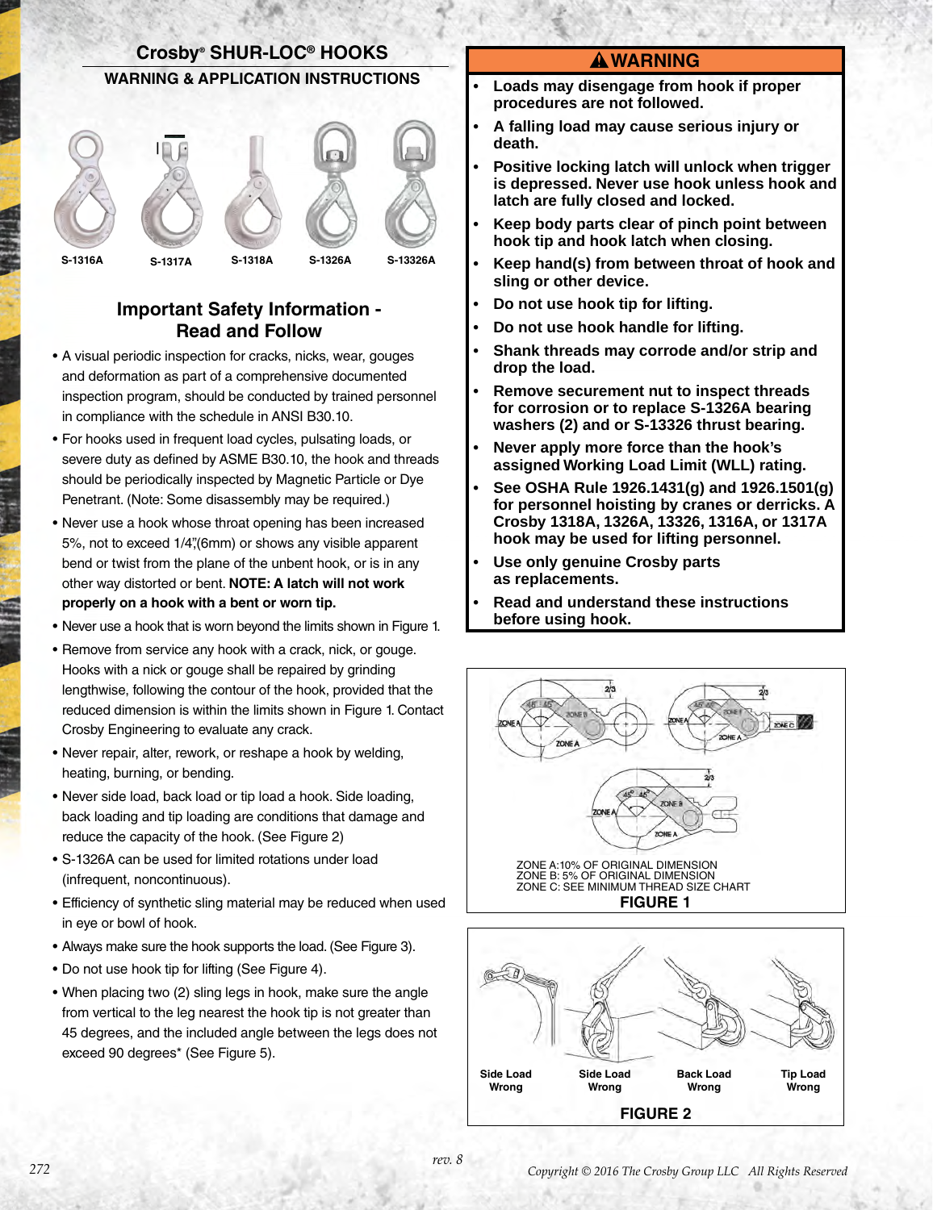

### **Important Safety Information - Read and Follow**

- A visual periodic inspection for cracks, nicks, wear, gouges and deformation as part of a comprehensive documented inspection program, should be conducted by trained personnel in compliance with the schedule in ANSI B30.10.
- For hooks used in frequent load cycles, pulsating loads, or severe duty as defined by ASME B30.10, the hook and threads should be periodically inspected by Magnetic Particle or Dye Penetrant. (Note: Some disassembly may be required.)
- Never use a hook whose throat opening has been increased 5%, not to exceed 1/4",(6mm) or shows any visible apparent bend or twist from the plane of the unbent hook, or is in any other way distorted or bent. **NOTE: A latch will not work properly on a hook with a bent or worn tip.**
- Never use a hook that is worn beyond the limits shown in Figure 1.
- Remove from service any hook with a crack, nick, or gouge. Hooks with a nick or gouge shall be repaired by grinding lengthwise, following the contour of the hook, provided that the reduced dimension is within the limits shown in Figure 1. Contact Crosby Engineering to evaluate any crack.
- Never repair, alter, rework, or reshape a hook by welding, heating, burning, or bending.
- Never side load, back load or tip load a hook. Side loading, back loading and tip loading are conditions that damage and reduce the capacity of the hook. (See Figure 2)
- S-1326A can be used for limited rotations under load (infrequent, noncontinuous).
- Efficiency of synthetic sling material may be reduced when used in eye or bowl of hook.
- Always make sure the hook supports the load. (See Figure 3).
- Do not use hook tip for lifting (See Figure 4).
- When placing two (2) sling legs in hook, make sure the angle from vertical to the leg nearest the hook tip is not greater than 45 degrees, and the included angle between the legs does not exceed 90 degrees\* (See Figure 5).

#### **WARNING**

- **• Loads may disengage from hook if proper procedures are not followed.**
- **• A falling load may cause serious injury or death.**
- **• Positive locking latch will unlock when trigger is depressed. Never use hook unless hook and latch are fully closed and locked.**
- **• Keep body parts clear of pinch point between hook tip and hook latch when closing.**
- **• Keep hand(s) from between throat of hook and sling or other device.**
- **• Do not use hook tip for lifting.**
- **• Do not use hook handle for lifting.**
- **• Shank threads may corrode and/or strip and drop the load.**
- **• Remove securement nut to inspect threads for corrosion or to replace S-1326A bearing washers (2) and or S-13326 thrust bearing.**
- **• Never apply more force than the hook's assigned Working Load Limit (WLL) rating.**
- **• See OSHA Rule 1926.1431(g) and 1926.1501(g) for personnel hoisting by cranes or derricks. A Crosby 1318A, 1326A, 13326, 1316A, or 1317A hook may be used for lifting personnel.**
- **• Use only genuine Crosby parts as replacements.**
- **• Read and understand these instructions before using hook.**